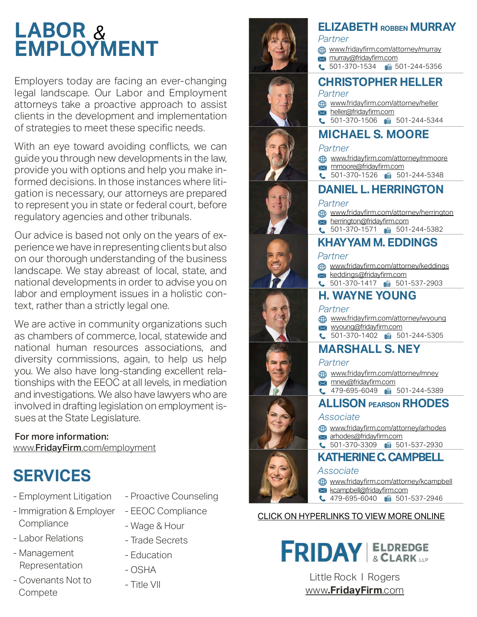## *&* **LABOR EMPLOYMENT**

Employers today are facing an ever-changing legal landscape. Our Labor and Employment attorneys take a proactive approach to assist clients in the development and implementation of strategies to meet these specific needs.

With an eye toward avoiding conflicts, we can guide you through new developments in the law, provide you with options and help you make informed decisions. In those instances where litigation is necessary, our attorneys are prepared to represent you in state or federal court, before regulatory agencies and other tribunals.

Our advice is based not only on the years of experience we have in representing clients but also on our thorough understanding of the business landscape. We stay abreast of local, state, and national developments in order to advise you on labor and employment issues in a holistic context, rather than a strictly legal one.

We are active in community organizations such as chambers of commerce, local, statewide and national human resources associations, and diversity commissions, again, to help us help you. We also have long-standing excellent relationships with the EEOC at all levels, in mediation and investigations. We also have lawyers who are involved in drafting legislation on employment issues at the State Legislature.

#### For more information:

www.FridayFirm[.com/employment](http://www.FridayFirm.com/employment)



- Labor Relations

- Management Representation

**Compete** 

- Employment Litigation
	- Proactive Counseling
- Immigration & Employer **Compliance**
- EEOC Compliance
- Wage & Hour
- Trade Secrets
- Education
- OSHA
- 

























## **ELIZABETH ROBBEN MURRAY**

- *Partner*
- [www.fridayfirm.com/attorney/murray](http://www.fridayfirm.com/attorney/murray) **x** [murray@fridayfirm.com](mailto:murray@fridayfirm.com)
- C 501-370-1534 6501-244-5356

#### **CHRISTOPHER HELLER** *Partner*

- [www.fridayfirm.com/attorney/heller](http://www.fridayfirm.com/attorney/heller)
- [heller@fridayfirm.com](mailto:heller@fridayfirm.com)
- $\bullet$  501-370-1506 6 501-244-5344

## **MICHAEL S. MOORE**

#### *Partner*

- [www.fridayfirm.com/attorney/mmoore](http://www.fridayfirm.com/attorney/mmoore)
- **x** [mmoore@fridayfirm.com](mailto:mmoore@fridayfirm.com)
- $\bullet$  501-370-1526 6 501-244-5348

### **DANIEL L. HERRINGTON**

#### *Partner*

- [www.fridayfirm.com/attorney/herrington](http://www.fridayfirm.com/attorney/herrington)
- $\overline{\mathsf{R}}$  [herrington@fridayfirm.com](mailto:herrington@fridayfirm.com)
- **KHAYYAM M. EDDINGS**  $\bullet$  501-370-1571 6 501-244-5382

### *Partner*

- [www.fridayfirm.com/attorney/keddings](http://www.fridayfirm.com/attorney/keddings)
- **keddings[@fridayfirm.com](mailto:keddings@fridayfirm.com)**
- $\bullet$  501-370-1417 6 501-537-2903

## **H. WAYNE YOUNG**

#### *Partner*

- [www.fridayfirm.com/attorney/wyoung](http://www.fridayfirm.com/attorney/wyoung)
- [wyoung@fridayfirm.com](mailto:wyoung@fridayfirm.com)
- C 501-370-1402 6 501-244-5305

### **MARSHALL S. NEY**

#### *Partner*

- [www.fridayfirm.com/attorney/mney](http://www.fridayfirm.com/attorney/mney)
- **x** [mney@fridayfirm.com](mailto:mney@fridayfirm.com)
- 1 479-695-6049 6 501-244-5389
- **ALLISON PEARSON RHODES**

#### *Associate*

- [www.fridayfirm.com/attorney/arhodes](http://www.fridayfirm.com/attorney/arhodes)
- [arhodes@fridayfirm.com](mailto:arhodes@fridayfirm.com)
- $\bullet$  501-370-3309  $\bullet$  501-537-2930

## **KATHERINE C. CAMPBELL**

#### *Associate*

- [www.fridayfirm.com/attorney/kcampbell](http://www.fridayfirm.com/attorney/kcampbell)
- **K**campbell@fridayfirm.com
- C 479-695-6040 **6** 501-537-2946

#### CLICK ON HYPERLINKS TO VIEW MORE ONLINE

**FRIDAY** & CLARK LLP

- Title VII Little Rock I Rogers www**[.FridayFirm](http://www.FridayFirm.com)**.com

- Covenants Not to